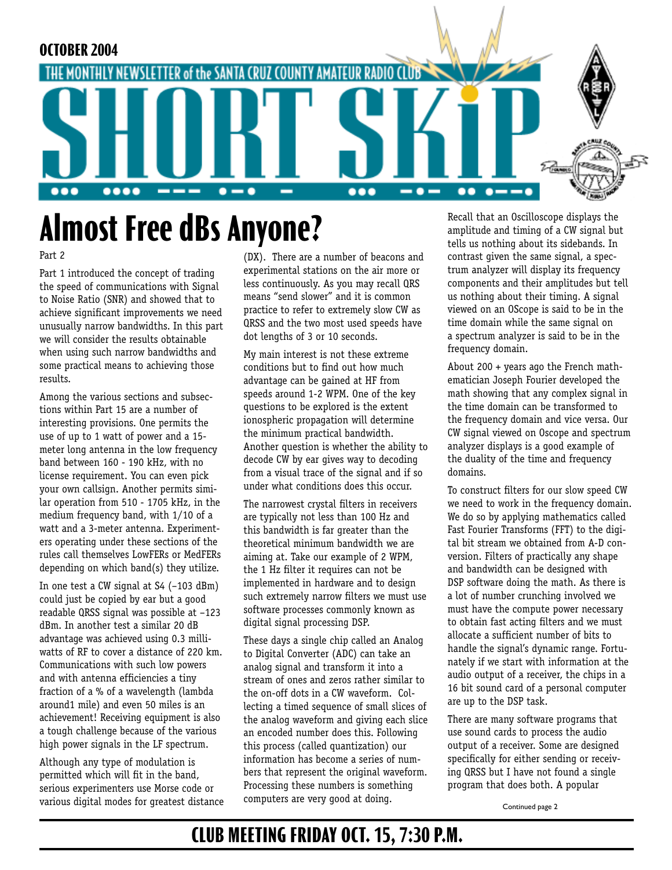

# **Almost Free dBs Anyone?**

#### Part 2

Part 1 introduced the concept of trading the speed of communications with Signal to Noise Ratio (SNR) and showed that to achieve significant improvements we need unusually narrow bandwidths. In this part we will consider the results obtainable when using such narrow bandwidths and some practical means to achieving those results.

Among the various sections and subsections within Part 15 are a number of interesting provisions. One permits the use of up to 1 watt of power and a 15 meter long antenna in the low frequency band between 160 - 190 kHz, with no license requirement. You can even pick your own callsign. Another permits similar operation from 510 - 1705 kHz, in the medium frequency band, with 1/10 of a watt and a 3-meter antenna. Experimenters operating under these sections of the rules call themselves LowFERs or MedFERs depending on which band(s) they utilize.

In one test a CW signal at S4 (–103 dBm) could just be copied by ear but a good readable QRSS signal was possible at –123 dBm. In another test a similar 20 dB advantage was achieved using 0.3 milliwatts of RF to cover a distance of 220 km. Communications with such low powers and with antenna efficiencies a tiny fraction of a % of a wavelength (lambda around1 mile) and even 50 miles is an achievement! Receiving equipment is also a tough challenge because of the various high power signals in the LF spectrum.

Although any type of modulation is permitted which will fit in the band, serious experimenters use Morse code or various digital modes for greatest distance (DX). There are a number of beacons and experimental stations on the air more or less continuously. As you may recall QRS means "send slower" and it is common practice to refer to extremely slow CW as QRSS and the two most used speeds have dot lengths of 3 or 10 seconds.

My main interest is not these extreme conditions but to find out how much advantage can be gained at HF from speeds around 1-2 WPM. One of the key questions to be explored is the extent ionospheric propagation will determine the minimum practical bandwidth. Another question is whether the ability to decode CW by ear gives way to decoding from a visual trace of the signal and if so under what conditions does this occur.

The narrowest crystal filters in receivers are typically not less than 100 Hz and this bandwidth is far greater than the theoretical minimum bandwidth we are aiming at. Take our example of 2 WPM, the 1 Hz filter it requires can not be implemented in hardware and to design such extremely narrow filters we must use software processes commonly known as digital signal processing DSP.

These days a single chip called an Analog to Digital Converter (ADC) can take an analog signal and transform it into a stream of ones and zeros rather similar to the on-off dots in a CW waveform. Collecting a timed sequence of small slices of the analog waveform and giving each slice an encoded number does this. Following this process (called quantization) our information has become a series of numbers that represent the original waveform. Processing these numbers is something computers are very good at doing.

Recall that an Oscilloscope displays the amplitude and timing of a CW signal but tells us nothing about its sidebands. In contrast given the same signal, a spectrum analyzer will display its frequency components and their amplitudes but tell us nothing about their timing. A signal viewed on an OScope is said to be in the time domain while the same signal on a spectrum analyzer is said to be in the frequency domain.

About 200 + years ago the French mathematician Joseph Fourier developed the math showing that any complex signal in the time domain can be transformed to the frequency domain and vice versa. Our CW signal viewed on Oscope and spectrum analyzer displays is a good example of the duality of the time and frequency domains.

To construct filters for our slow speed CW we need to work in the frequency domain. We do so by applying mathematics called Fast Fourier Transforms (FFT) to the digital bit stream we obtained from A-D conversion. Filters of practically any shape and bandwidth can be designed with DSP software doing the math. As there is a lot of number crunching involved we must have the compute power necessary to obtain fast acting filters and we must allocate a sufficient number of bits to handle the signal's dynamic range. Fortunately if we start with information at the audio output of a receiver, the chips in a 16 bit sound card of a personal computer are up to the DSP task.

There are many software programs that use sound cards to process the audio output of a receiver. Some are designed specifically for either sending or receiving QRSS but I have not found a single program that does both. A popular

Continued page 2

#### **CLUB MEETING FRIDAY OCT. 15, 7:30 P.M.**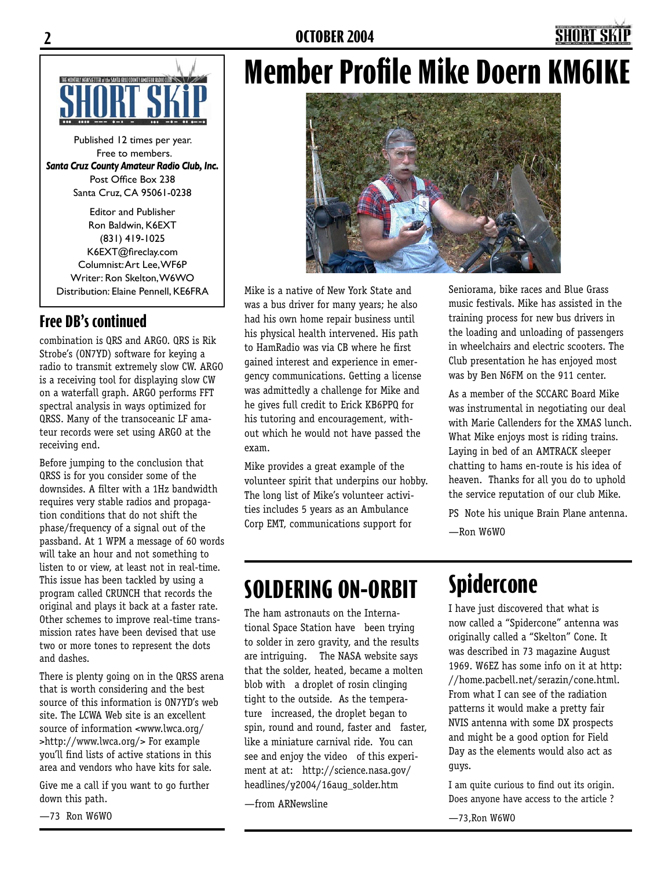

Published 12 times per year. Free to members. *Santa Cruz County Amateur Radio Club, Inc.* Post Office Box 238 Santa Cruz, CA 95061-0238

Editor and Publisher Ron Baldwin, K6EXT (831) 419-1025 K6EXT@fireclay.com Columnist: Art Lee, WF6P Writer: Ron Skelton, W6WO Distribution: Elaine Pennell, KE6FRA

#### **Free DB's continued**

combination is QRS and ARGO. QRS is Rik Strobe's (ON7YD) software for keying a radio to transmit extremely slow CW. ARGO is a receiving tool for displaying slow CW on a waterfall graph. ARGO performs FFT spectral analysis in ways optimized for QRSS. Many of the transoceanic LF amateur records were set using ARGO at the receiving end.

Before jumping to the conclusion that QRSS is for you consider some of the downsides. A filter with a 1Hz bandwidth requires very stable radios and propagation conditions that do not shift the phase/frequency of a signal out of the passband. At 1 WPM a message of 60 words will take an hour and not something to listen to or view, at least not in real-time. This issue has been tackled by using a program called CRUNCH that records the original and plays it back at a faster rate. Other schemes to improve real-time transmission rates have been devised that use two or more tones to represent the dots and dashes.

There is plenty going on in the QRSS arena that is worth considering and the best source of this information is ON7YD's web site. The LCWA Web site is an excellent source of information <www.lwca.org/ >http://www.lwca.org/> For example you'll find lists of active stations in this area and vendors who have kits for sale.

Give me a call if you want to go further down this path.

—73 Ron W6WO

Ι

# **Member Profile Mike Doern KM6IKE**



Mike is a native of New York State and was a bus driver for many years; he also had his own home repair business until his physical health intervened. His path to HamRadio was via CB where he first gained interest and experience in emergency communications. Getting a license was admittedly a challenge for Mike and he gives full credit to Erick KB6PPQ for his tutoring and encouragement, without which he would not have passed the exam.

Mike provides a great example of the volunteer spirit that underpins our hobby. The long list of Mike's volunteer activities includes 5 years as an Ambulance Corp EMT, communications support for

Seniorama, bike races and Blue Grass music festivals. Mike has assisted in the training process for new bus drivers in the loading and unloading of passengers in wheelchairs and electric scooters. The Club presentation he has enjoyed most was by Ben N6FM on the 911 center.

As a member of the SCCARC Board Mike was instrumental in negotiating our deal with Marie Callenders for the XMAS lunch. What Mike enjoys most is riding trains. Laying in bed of an AMTRACK sleeper chatting to hams en-route is his idea of heaven. Thanks for all you do to uphold the service reputation of our club Mike.

PS Note his unique Brain Plane antenna. —Ron W6WO

## **SOLDERING ON-ORBIT**

The ham astronauts on the International Space Station have been trying to solder in zero gravity, and the results are intriguing. The NASA website says that the solder, heated, became a molten blob with a droplet of rosin clinging tight to the outside. As the temperature increased, the droplet began to spin, round and round, faster and faster, like a miniature carnival ride. You can see and enjoy the video of this experiment at at: http://science.nasa.gov/ headlines/y2004/16aug\_solder.htm

—from ARNewsline

## **Spidercone**

I have just discovered that what is now called a "Spidercone" antenna was originally called a "Skelton" Cone. It was described in 73 magazine August 1969. W6EZ has some info on it at http: //home.pacbell.net/serazin/cone.html. From what I can see of the radiation patterns it would make a pretty fair NVIS antenna with some DX prospects and might be a good option for Field Day as the elements would also act as guys.

I am quite curious to find out its origin. Does anyone have access to the article ?

—73,Ron W6WO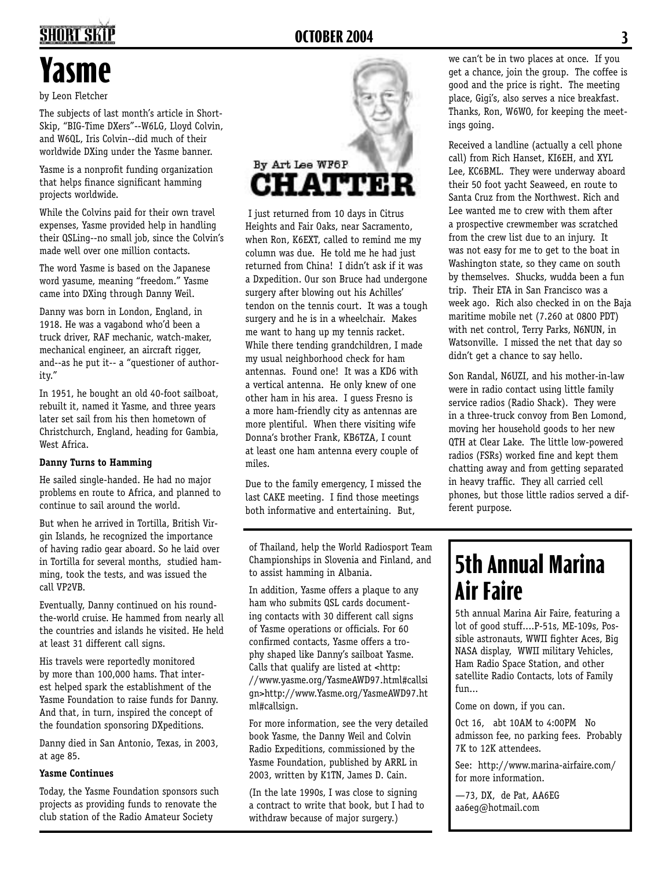## **2 OCTOBER 2004 3**

# **Yasme**

by Leon Fletcher

The subjects of last month's article in Short-Skip, "BIG-Time DXers"--W6LG, Lloyd Colvin, and W6QL, Iris Colvin--did much of their worldwide DXing under the Yasme banner.

Yasme is a nonprofit funding organization that helps finance significant hamming projects worldwide.

While the Colvins paid for their own travel expenses, Yasme provided help in handling their QSLing--no small job, since the Colvin's made well over one million contacts.

The word Yasme is based on the Japanese word yasume, meaning "freedom." Yasme came into DXing through Danny Weil.

Danny was born in London, England, in 1918. He was a vagabond who'd been a truck driver, RAF mechanic, watch-maker, mechanical engineer, an aircraft rigger, and--as he put it-- a "questioner of authority."

In 1951, he bought an old 40-foot sailboat, rebuilt it, named it Yasme, and three years later set sail from his then hometown of Christchurch, England, heading for Gambia, West Africa.

#### **Danny Turns to Hamming**

He sailed single-handed. He had no major problems en route to Africa, and planned to continue to sail around the world.

But when he arrived in Tortilla, British Virgin Islands, he recognized the importance of having radio gear aboard. So he laid over in Tortilla for several months, studied hamming, took the tests, and was issued the call VP2VB.

Eventually, Danny continued on his roundthe-world cruise. He hammed from nearly all the countries and islands he visited. He held at least 31 different call signs.

His travels were reportedly monitored by more than 100,000 hams. That interest helped spark the establishment of the Yasme Foundation to raise funds for Danny. And that, in turn, inspired the concept of the foundation sponsoring DXpeditions.

Danny died in San Antonio, Texas, in 2003, at age 85.

#### **Yasme Continues**

Today, the Yasme Foundation sponsors such projects as providing funds to renovate the club station of the Radio Amateur Society



 I just returned from 10 days in Citrus Heights and Fair Oaks, near Sacramento, when Ron, K6EXT, called to remind me my column was due. He told me he had just returned from China! I didn't ask if it was a Dxpedition. Our son Bruce had undergone surgery after blowing out his Achilles' tendon on the tennis court. It was a tough surgery and he is in a wheelchair. Makes me want to hang up my tennis racket. While there tending grandchildren, I made my usual neighborhood check for ham antennas. Found one! It was a KD6 with a vertical antenna. He only knew of one other ham in his area. I guess Fresno is a more ham-friendly city as antennas are more plentiful. When there visiting wife Donna's brother Frank, KB6TZA, I count at least one ham antenna every couple of miles.

Due to the family emergency, I missed the last CAKE meeting. I find those meetings both informative and entertaining. But,

of Thailand, help the World Radiosport Team Championships in Slovenia and Finland, and to assist hamming in Albania.

In addition, Yasme offers a plaque to any ham who submits QSL cards documenting contacts with 30 different call signs of Yasme operations or officials. For 60 confirmed contacts, Yasme offers a trophy shaped like Danny's sailboat Yasme. Calls that qualify are listed at <http: //www.yasme.org/YasmeAWD97.html#callsi gn>http://www.Yasme.org/YasmeAWD97.ht ml#callsign.

For more information, see the very detailed book Yasme, the Danny Weil and Colvin Radio Expeditions, commissioned by the Yasme Foundation, published by ARRL in 2003, written by K1TN, James D. Cain.

(In the late 1990s, I was close to signing a contract to write that book, but I had to withdraw because of major surgery.)

we can't be in two places at once. If you get a chance, join the group. The coffee is good and the price is right. The meeting place, Gigi's, also serves a nice breakfast. Thanks, Ron, W6WO, for keeping the meetings going.

Received a landline (actually a cell phone call) from Rich Hanset, KI6EH, and XYL Lee, KC6BML. They were underway aboard their 50 foot yacht Seaweed, en route to Santa Cruz from the Northwest. Rich and Lee wanted me to crew with them after a prospective crewmember was scratched from the crew list due to an injury. It was not easy for me to get to the boat in Washington state, so they came on south by themselves. Shucks, wudda been a fun trip. Their ETA in San Francisco was a week ago. Rich also checked in on the Baja maritime mobile net (7.260 at 0800 PDT) with net control, Terry Parks, N6NUN, in Watsonville. I missed the net that day so didn't get a chance to say hello.

Son Randal, N6UZI, and his mother-in-law were in radio contact using little family service radios (Radio Shack). They were in a three-truck convoy from Ben Lomond, moving her household goods to her new QTH at Clear Lake. The little low-powered radios (FSRs) worked fine and kept them chatting away and from getting separated in heavy traffic. They all carried cell phones, but those little radios served a different purpose.

#### **5th Annual Marina Air Faire**

5th annual Marina Air Faire, featuring a lot of good stuff....P-51s, ME-109s, Possible astronauts, WWII fighter Aces, Big NASA display, WWII military Vehicles, Ham Radio Space Station, and other satellite Radio Contacts, lots of Family fun...

Come on down, if you can.

Oct 16, abt 10AM to 4:00PM No admisson fee, no parking fees. Probably 7K to 12K attendees.

See: http://www.marina-airfaire.com/ for more information.

—73, DX, de Pat, AA6EG aa6eg@hotmail.com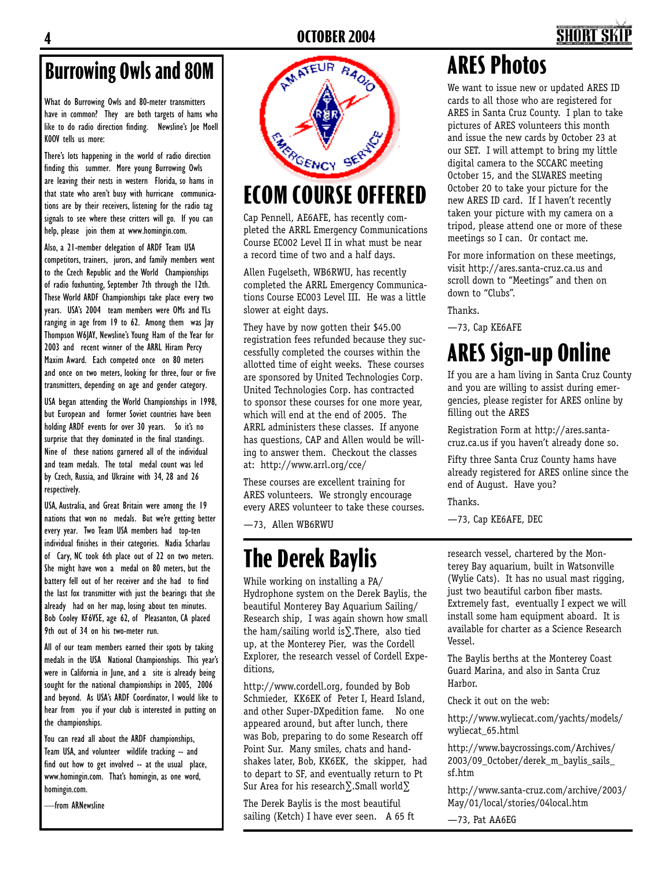## **4 OCTOBER 2004 5**

#### **Burrowing Owls and 80M**

What do Burrowing Owls and 80-meter transmitters have in common? They are both targets of hams who like to do radio direction finding. Newsline's Joe Moell K0OV tells us more:

There's lots happening in the world of radio direction finding this summer. More young Burrowing Owls are leaving their nests in western Florida, so hams in that state who aren't busy with hurricane communications are by their receivers, listening for the radio tag signals to see where these critters will go. If you can help, please join them at www.homingin.com.

Also, a 21-member delegation of ARDF Team USA competitors, trainers, jurors, and family members went to the Czech Republic and the World Championships of radio foxhunting, September 7th through the 12th. These World ARDF Championships take place every two years. USA's 2004 team members were OMs and YLs ranging in age from 19 to 62. Among them was Jay Thompson W6JAY, Newsline's Young Ham of the Year for 2003 and recent winner of the ARRL Hiram Percy Maxim Award. Each competed once on 80 meters and once on two meters, looking for three, four or five transmitters, depending on age and gender category.

USA began attending the World Championships in 1998, but European and former Soviet countries have been holding ARDF events for over 30 years. So it's no surprise that they dominated in the final standings. Nine of these nations garnered all of the individual and team medals. The total medal count was led by Czech, Russia, and Ukraine with 34, 28 and 26 respectively.

USA, Australia, and Great Britain were among the 19 nations that won no medals. But we're getting better every year. Two Team USA members had top-ten individual finishes in their categories. Nadia Scharlau of Cary, NC took 6th place out of 22 on two meters. She might have won a medal on 80 meters, but the battery fell out of her receiver and she had to find the last fox transmitter with just the bearings that she already had on her map, losing about ten minutes. Bob Cooley KF6VSE, age 62, of Pleasanton, CA placed 9th out of 34 on his two-meter run.

All of our team members earned their spots by taking medals in the USA National Championships. This year's were in California in June, and a site is already being sought for the national championships in 2005, 2006 and beyond. As USA's ARDF Coordinator, I would like to hear from you if your club is interested in putting on the championships.

You can read all about the ARDF championships, Team USA, and volunteer wildlife tracking -- and find out how to get involved -- at the usual place, www.homingin.com. That's homingin, as one word, homingin.com.

—from ARNewsline



## **ECOM COURSE OFFERED**

Cap Pennell, AE6AFE, has recently completed the ARRL Emergency Communications Course EC002 Level II in what must be near a record time of two and a half days.

Allen Fugelseth, WB6RWU, has recently completed the ARRL Emergency Communications Course EC003 Level III. He was a little slower at eight days.

They have by now gotten their \$45.00 registration fees refunded because they successfully completed the courses within the allotted time of eight weeks. These courses are sponsored by United Technologies Corp. United Technologies Corp. has contracted to sponsor these courses for one more year, which will end at the end of 2005. The ARRL administers these classes. If anyone has questions, CAP and Allen would be willing to answer them. Checkout the classes at: http://www.arrl.org/cce/

These courses are excellent training for ARES volunteers. We strongly encourage every ARES volunteer to take these courses.

—73, Allen WB6RWU

### **The Derek Baylis**

While working on installing a PA/ Hydrophone system on the Derek Baylis, the beautiful Monterey Bay Aquarium Sailing/ Research ship, I was again shown how small the ham/sailing world is∑.There, also tied up, at the Monterey Pier, was the Cordell Explorer, the research vessel of Cordell Expeditions,

http://www.cordell.org, founded by Bob Schmieder, KK6EK of Peter I, Heard Island, and other Super-DXpedition fame. No one appeared around, but after lunch, there was Bob, preparing to do some Research off Point Sur. Many smiles, chats and handshakes later, Bob, KK6EK, the skipper, had to depart to SF, and eventually return to Pt Sur Area for his research∑.Small world∑

The Derek Baylis is the most beautiful sailing (Ketch) I have ever seen. A 65 ft

### **ARES Photos**

We want to issue new or updated ARES ID cards to all those who are registered for ARES in Santa Cruz County. I plan to take pictures of ARES volunteers this month and issue the new cards by October 23 at our SET. I will attempt to bring my little digital camera to the SCCARC meeting October 15, and the SLVARES meeting October 20 to take your picture for the new ARES ID card. If I haven't recently taken your picture with my camera on a tripod, please attend one or more of these meetings so I can. Or contact me.

For more information on these meetings, visit http://ares.santa-cruz.ca.us and scroll down to "Meetings" and then on down to "Clubs".

Thanks.

—73, Cap KE6AFE

#### **ARES Sign-up Online**

If you are a ham living in Santa Cruz County and you are willing to assist during emergencies, please register for ARES online by filling out the ARES

Registration Form at http://ares.santacruz.ca.us if you haven't already done so.

Fifty three Santa Cruz County hams have already registered for ARES online since the end of August. Have you?

Thanks.

—73, Cap KE6AFE, DEC

research vessel, chartered by the Monterey Bay aquarium, built in Watsonville (Wylie Cats). It has no usual mast rigging, just two beautiful carbon fiber masts. Extremely fast, eventually I expect we will install some ham equipment aboard. It is available for charter as a Science Research Vessel.

The Baylis berths at the Monterey Coast Guard Marina, and also in Santa Cruz Harbor.

Check it out on the web:

http://www.wyliecat.com/yachts/models/ wyliecat\_65.html

http://www.baycrossings.com/Archives/ 2003/09\_October/derek\_m\_baylis\_sails sf.htm

http://www.santa-cruz.com/archive/2003/ May/01/local/stories/04local.htm

—73, Pat AA6EG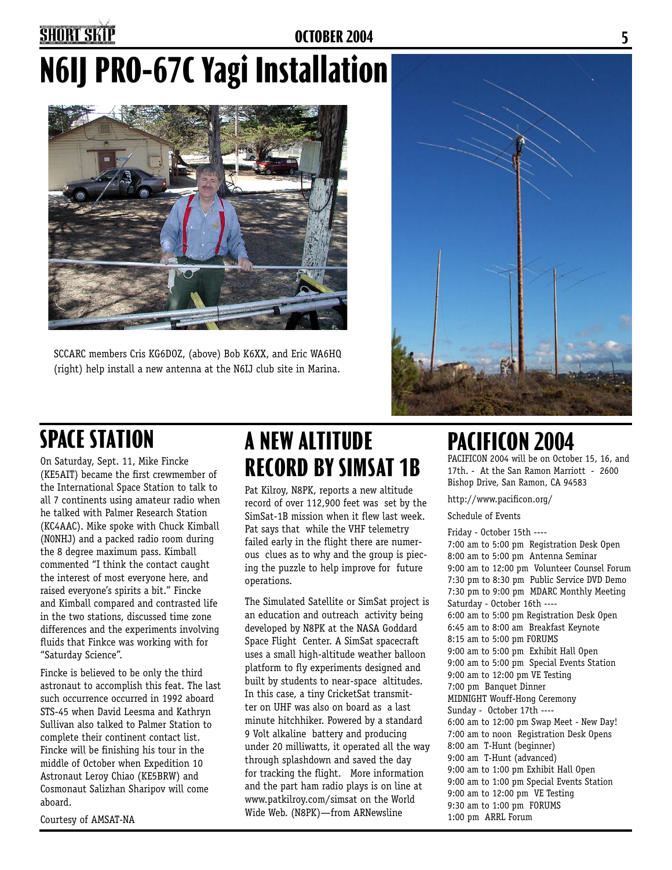## **4 OCTOBER 2004 5**

# **N6IJ PRO-67C Yagi Installation**



SCCARC members Cris KG6DOZ, (above) Bob K6XX, and Eric WA6HQ (right) help install a new antenna at the N6IJ club site in Marina.



On Saturday, Sept. 11, Mike Fincke (KE5AIT) became the first crewmember of the International Space Station to talk to all 7 continents using amateur radio when he talked with Palmer Research Station (KC4AAC). Mike spoke with Chuck Kimball (N0NHJ) and a packed radio room during the 8 degree maximum pass. Kimball commented "I think the contact caught the interest of most everyone here, and raised everyone's spirits a bit." Fincke and Kimball compared and contrasted life in the two stations, discussed time zone differences and the experiments involving fluids that Finkce was working with for "Saturday Science".

Fincke is believed to be only the third astronaut to accomplish this feat. The last such occurrence occurred in 1992 aboard STS-45 when David Leesma and Kathryn Sullivan also talked to Palmer Station to complete their continent contact list. Fincke will be finishing his tour in the middle of October when Expedition 10 Astronaut Leroy Chiao (KE5BRW) and Cosmonaut Salizhan Sharipov will come aboard.

Courtesy of AMSAT-NA

### **SPACE STATION A NEW ALTITUDE PACIFICON 2004 RECORD BY SIMSAT 1B**

Pat Kilroy, N8PK, reports a new altitude record of over 112,900 feet was set by the SimSat-1B mission when it flew last week. Pat says that while the VHF telemetry failed early in the flight there are numerous clues as to why and the group is piecing the puzzle to help improve for future operations.

The Simulated Satellite or SimSat project is an education and outreach activity being developed by N8PK at the NASA Goddard Space Flight Center. A SimSat spacecraft uses a small high-altitude weather balloon platform to fly experiments designed and built by students to near-space altitudes. In this case, a tiny CricketSat transmitter on UHF was also on board as a last minute hitchhiker. Powered by a standard 9 Volt alkaline battery and producing under 20 milliwatts, it operated all the way through splashdown and saved the day for tracking the flight. More information and the part ham radio plays is on line at www.patkilroy.com/simsat on the World Wide Web. (N8PK)—from ARNewsline

PACIFICON 2004 will be on October 15, 16, and 17th. - At the San Ramon Marriott - 2600 Bishop Drive, San Ramon, CA 94583

http://www.pacificon.org/

Schedule of Events

Friday - October 15th ---- 7:00 am to 5:00 pm Registration Desk Open 8:00 am to 5:00 pm Antenna Seminar 9:00 am to 12:00 pm Volunteer Counsel Forum 7:30 pm to 8:30 pm Public Service DVD Demo 7:30 pm to 9:00 pm MDARC Monthly Meeting Saturday - October 16th ---- 6:00 am to 5:00 pm Registration Desk Open 6:45 am to 8:00 am Breakfast Keynote 8:15 am to 5:00 pm FORUMS 9:00 am to 5:00 pm Exhibit Hall Open 9:00 am to 5:00 pm Special Events Station 9:00 am to 12:00 pm VE Testing 7:00 pm Banquet Dinner MIDNIGHT Wouff-Hong Ceremony Sunday - October 17th ---- 6:00 am to 12:00 pm Swap Meet - New Day! 7:00 am to noon Registration Desk Opens 8:00 am T-Hunt (beginner) 9:00 am T-Hunt (advanced) 9:00 am to 1:00 pm Exhibit Hall Open 9:00 am to 1:00 pm Special Events Station 9:00 am to 12:00 pm VE Testing 9:30 am to 1:00 pm FORUMS 1:00 pm ARRL Forum